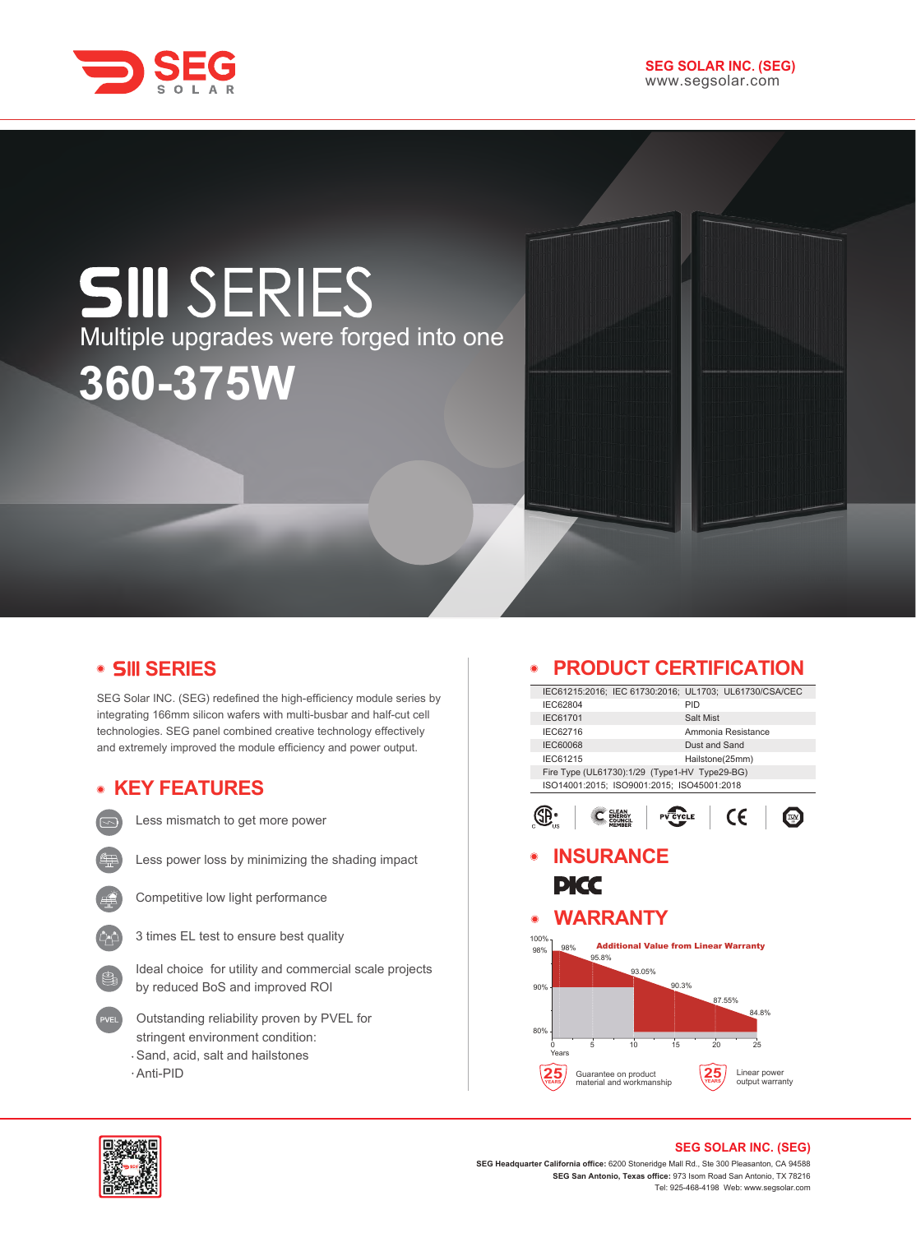

# **SIII** SERIES Multiple upgrades were forged into one **360-375W**

## **SERIES**

SEG Solar INC. (SEG) redefined the high-efficiency module series by integrating 166mm silicon wafers with multi-busbar and half-cut cell technologies. SEG panel combined creative technology effectively and extremely improved the module efficiency and power output.

## **KEY FEATURES**



Less mismatch to get more power



Less power loss by minimizing the shading impact



Competitive low light performance



Ideal choice for utility and commercial scale projects by reduced BoS and improved ROI

- Outstanding reliability proven by PVEL for stringent environment condition: Sand, acid, salt and hailstones
- Anti-PID

## **PRODUCT CERTIFICATION**

|                                                  | IEC61215:2016; IEC 61730:2016; UL1703; UL61730/CSA/CEC |  |  |
|--------------------------------------------------|--------------------------------------------------------|--|--|
| IEC62804                                         | PID                                                    |  |  |
| <b>IEC61701</b>                                  | Salt Mist                                              |  |  |
| IEC62716                                         | Ammonia Resistance                                     |  |  |
| <b>IEC60068</b>                                  | Dust and Sand                                          |  |  |
| IEC61215                                         | Hailstone(25mm)                                        |  |  |
| Fire Type (UL61730):1/29 (Type1-HV Type29-BG)    |                                                        |  |  |
| ISO14001:2015; ISO9001:2015; ISO45001:2018       |                                                        |  |  |
|                                                  | CE<br><b>YCLE</b>                                      |  |  |
| <b>INSURANCE</b>                                 |                                                        |  |  |
|                                                  |                                                        |  |  |
| PICC                                             |                                                        |  |  |
|                                                  |                                                        |  |  |
| <b>WARRANTY</b>                                  |                                                        |  |  |
| $\odot$                                          |                                                        |  |  |
| 100%                                             |                                                        |  |  |
| 98%<br>98%<br>95.8%                              | <b>Additional Value from Linear Warranty</b>           |  |  |
| 93.05%                                           |                                                        |  |  |
| 90%                                              | 90.3%                                                  |  |  |
|                                                  |                                                        |  |  |
|                                                  | 87.55%<br>84.8%                                        |  |  |
|                                                  |                                                        |  |  |
| 80%                                              |                                                        |  |  |
| $\frac{1}{5}$<br>10<br>$\Omega$<br>Years         | 15<br>20<br>25                                         |  |  |
|                                                  |                                                        |  |  |
| Guarantee on product<br>material and workmanship | Linear power<br>output warranty                        |  |  |
|                                                  |                                                        |  |  |
|                                                  |                                                        |  |  |



#### **SEG SOLAR INC. (SEG)**

**SEG Headquarter California office:** 6200 Stoneridge Mall Rd., Ste 300 Pleasanton, CA 94588 **SEG San Antonio, Texas office:** 973 Isom Road San Antonio, TX 78216 Tel: 925-468-4198 Web: www.segsolar.com